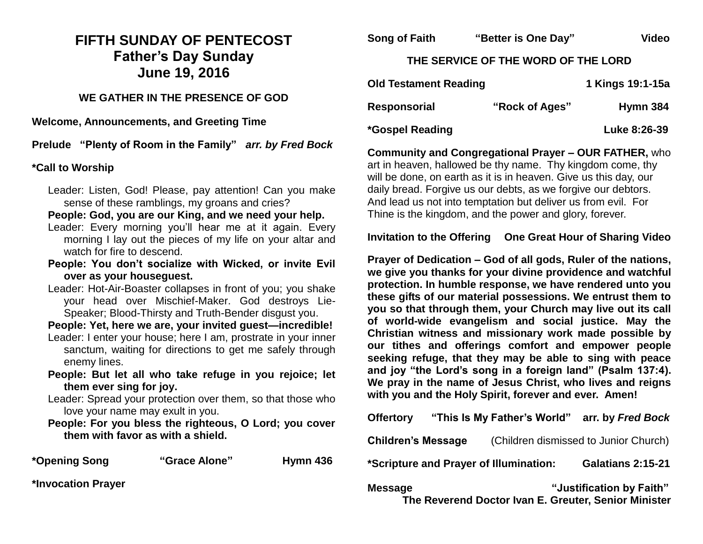# **FIFTH SUNDAY OF PENTECOST Father's Day Sunday June 19, 2016**

## **WE GATHER IN THE PRESENCE OF GOD**

**Welcome, Announcements, and Greeting Time** 

**Prelude "Plenty of Room in the Family"** *arr. by Fred Bock*

#### **\*Call to Worship**

Leader: Listen, God! Please, pay attention! Can you make sense of these ramblings, my groans and cries?

**People: God, you are our King, and we need your help.**

- Leader: Every morning you'll hear me at it again. Every morning I lay out the pieces of my life on your altar and watch for fire to descend.
- **People: You don't socialize with Wicked, or invite Evil over as your houseguest.**
- Leader: Hot-Air-Boaster collapses in front of you; you shake your head over Mischief-Maker. God destroys Lie-Speaker; Blood-Thirsty and Truth-Bender disgust you.

**People: Yet, here we are, your invited guest—incredible!**

- Leader: I enter your house; here I am, prostrate in your inner sanctum, waiting for directions to get me safely through enemy lines.
- **People: But let all who take refuge in you rejoice; let them ever sing for joy.**

Leader: Spread your protection over them, so that those who love your name may exult in you.

**People: For you bless the righteous, O Lord; you cover them with favor as with a shield.**

**\*Opening Song "Grace Alone" Hymn 436**

**\*Invocation Prayer** 

**Song of Faith "Better is One Day" Video THE SERVICE OF THE WORD OF THE LORD Old Testament Reading 18:1-15a 18:1-15a 18:1-15a 18:1-15a 18:1-15a 18:1-15a 18:1-15a 18:1-15a 18:1-15a 18:1-15a 18:1-15a 18:1-15a 18:1-15a 18:1-15a 18:1-15a 18:1-15a 18:1-15a 18:1-15a 18:1-15a 18:1-15a 18:1-15a 18:1-15a 1** Responsorial "Rock of Ages" Hymn 384

**\*Gospel Reading Luke 8:26-39** 

**Community and Congregational Prayer – OUR FATHER,** who art in heaven, hallowed be thy name. Thy kingdom come, thy will be done, on earth as it is in heaven. Give us this day, our daily bread. Forgive us our debts, as we forgive our debtors. And lead us not into temptation but deliver us from evil. For Thine is the kingdom, and the power and glory, forever.

**Invitation to the Offering One Great Hour of Sharing Video**

**Prayer of Dedication – God of all gods, Ruler of the nations, we give you thanks for your divine providence and watchful protection. In humble response, we have rendered unto you these gifts of our material possessions. We entrust them to you so that through them, your Church may live out its call of world-wide evangelism and social justice. May the Christian witness and missionary work made possible by our tithes and offerings comfort and empower people seeking refuge, that they may be able to sing with peace and joy "the Lord's song in a foreign land" (Psalm 137:4). We pray in the name of Jesus Christ, who lives and reigns with you and the Holy Spirit, forever and ever. Amen!**

**Offertory "This Is My Father's World" arr. by** *Fred Bock*

**Children's Message** (Children dismissed to Junior Church)

**\*Scripture and Prayer of Illumination: Galatians 2:15-21** 

**Message "Justification by Faith" The Reverend Doctor Ivan E. Greuter, Senior Minister**